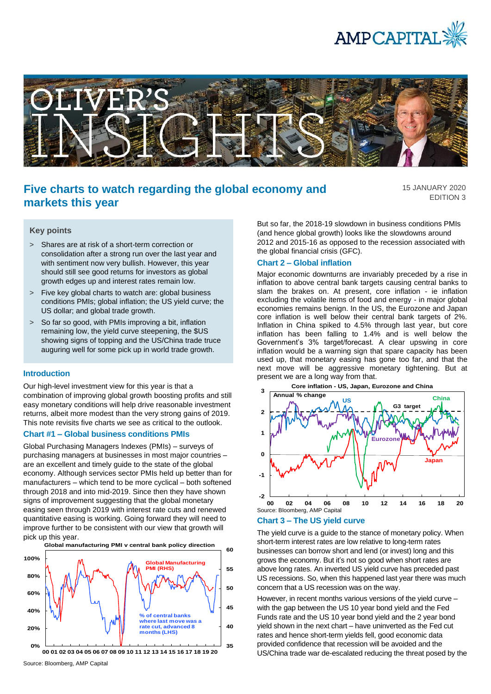



# **Five charts to watch regarding the global economy and markets this year**

15 JANUARY 2020 EDITION 3

## **Key points**

- > Shares are at risk of a short-term correction or consolidation after a strong run over the last year and with sentiment now very bullish. However, this year should still see good returns for investors as global growth edges up and interest rates remain low.
- > Five key global charts to watch are: global business conditions PMIs; global inflation; the US yield curve; the US dollar; and global trade growth.
- > So far so good, with PMIs improving a bit, inflation remaining low, the yield curve steepening, the \$US showing signs of topping and the US/China trade truce auguring well for some pick up in world trade growth.

### **Introduction**

Our high-level investment view for this year is that a combination of improving global growth boosting profits and still easy monetary conditions will help drive reasonable investment returns, albeit more modest than the very strong gains of 2019. This note revisits five charts we see as critical to the outlook.

#### **Chart #1 – Global business conditions PMIs**

Global Purchasing Managers Indexes (PMIs) – surveys of purchasing managers at businesses in most major countries – are an excellent and timely guide to the state of the global economy. Although services sector PMIs held up better than for manufacturers – which tend to be more cyclical – both softened through 2018 and into mid-2019. Since then they have shown signs of improvement suggesting that the global monetary easing seen through 2019 with interest rate cuts and renewed quantitative easing is working. Going forward they will need to improve further to be consistent with our view that growth will pick up this year.



**<sup>00</sup> 01 02 03 04 05 06 07 08 09 10 11 12 13 14 15 16 17 18 19 20**

But so far, the 2018-19 slowdown in business conditions PMIs (and hence global growth) looks like the slowdowns around 2012 and 2015-16 as opposed to the recession associated with the global financial crisis (GFC).

#### **Chart 2 – Global inflation**

Major economic downturns are invariably preceded by a rise in inflation to above central bank targets causing central banks to slam the brakes on. At present, core inflation - ie inflation excluding the volatile items of food and energy - in major global economies remains benign. In the US, the Eurozone and Japan core inflation is well below their central bank targets of 2%. Inflation in China spiked to 4.5% through last year, but core inflation has been falling to 1.4% and is well below the Government's 3% target/forecast. A clear upswing in core inflation would be a warning sign that spare capacity has been used up, that monetary easing has gone too far, and that the next move will be aggressive monetary tightening. But at present we are a long way from that.



#### **Chart 3 – The US yield curve**

The yield curve is a guide to the stance of monetary policy. When short-term interest rates are low relative to long-term rates businesses can borrow short and lend (or invest) long and this grows the economy. But it's not so good when short rates are above long rates. An inverted US yield curve has preceded past US recessions. So, when this happened last year there was much concern that a US recession was on the way.

However, in recent months various versions of the yield curve – with the gap between the US 10 year bond yield and the Fed Funds rate and the US 10 year bond yield and the 2 year bond yield shown in the next chart – have uninverted as the Fed cut rates and hence short-term yields fell, good economic data provided confidence that recession will be avoided and the US/China trade war de-escalated reducing the threat posed by the